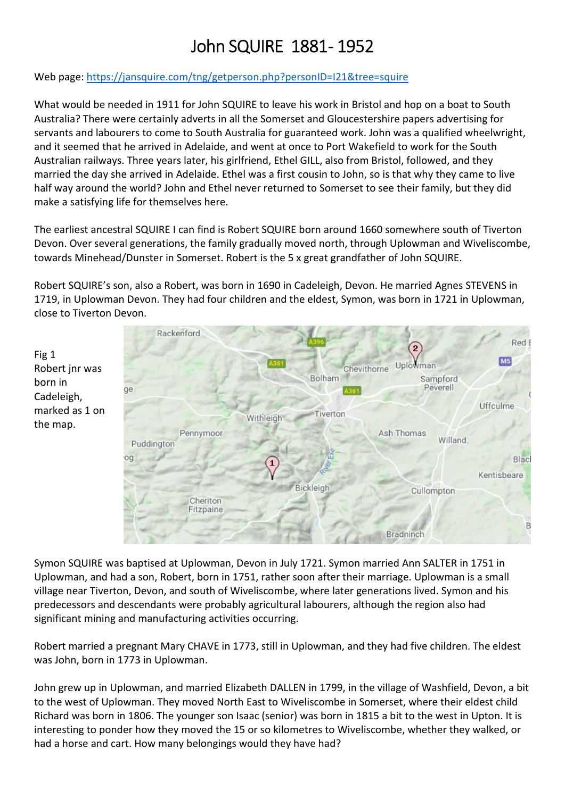# John SQUIRE 1881-1952

## Web page: https://jansquire.com/tng/getperson.php?personID=I21&tree=squire

What would be needed in 1911 for John SQUIRE to leave his work in Bristol and hop on a boat to South Australia? There were certainly adverts in all the Somerset and Gloucestershire papers advertising for servants and labourers to come to South Australia for guaranteed work. John was a qualified wheelwright, and it seemed that he arrived in Adelaide, and went at once to Port Wakefield to work for the South Australian railways. Three years later, his girlfriend, Ethel GILL, also from Bristol, followed, and they married the day she arrived in Adelaide. Ethel was a first cousin to John, so is that why they came to live half way around the world? John and Ethel never returned to Somerset to see their family, but they did make a satisfying life for themselves here.

The earliest ancestral SQUIRE I can find is Robert SQUIRE born around 1660 somewhere south of Tiverton Devon. Over several generations, the family gradually moved north, through Uplowman and Wiveliscombe, towards Minehead/Dunster in Somerset. Robert is the 5 x great grandfather of John SQUIRE.

Robert SQUIRE's son, also a Robert, was born in 1690 in Cadeleigh, Devon. He married Agnes STEVENS in 1719, in Uplowman Devon. They had four children and the eldest, Symon, was born in 1721 in Uplowman, close to Tiverton Devon.



Symon SQUIRE was baptised at Uplowman, Devon in July 1721. Symon married Ann SALTER in 1751 in Uplowman, and had a son, Robert, born in 1751, rather soon after their marriage. Uplowman is a small village near Tiverton, Devon, and south of Wiveliscombe, where later generations lived. Symon and his predecessors and descendants were probably agricultural labourers, although the region also had significant mining and manufacturing activities occurring.

Robert married a pregnant Mary CHAVE in 1773, still in Uplowman, and they had five children. The eldest was John, born in 1773 in Uplowman.

John grew up in Uplowman, and married Elizabeth DALLEN in 1799, in the village of Washfield, Devon, a bit to the west of Uplowman. They moved North East to Wiveliscombe in Somerset, where their eldest child Richard was born in 1806. The younger son Isaac (senior) was born in 1815 a bit to the west in Upton. It is interesting to ponder how they moved the 15 or so kilometres to Wiveliscombe, whether they walked, or had a horse and cart. How many belongings would they have had?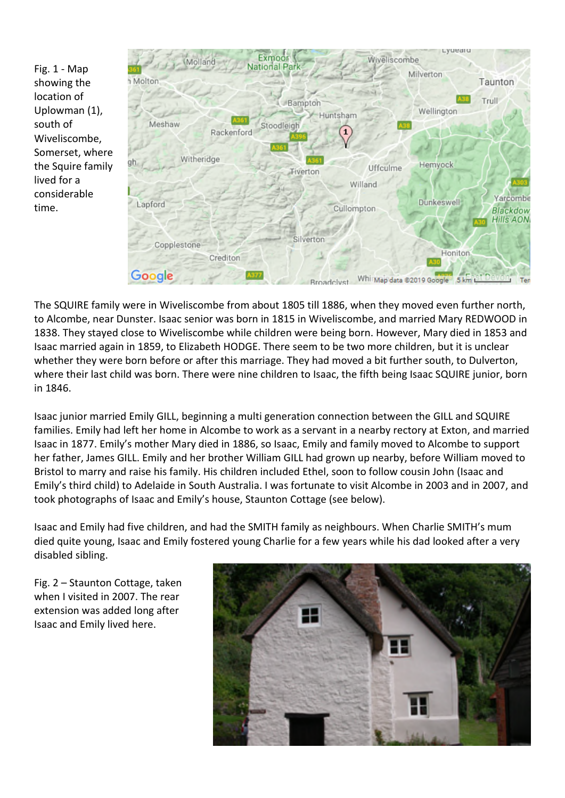Fig. 1 - Map showing the location of Uplowman (1), south of Wiveliscombe, Somerset, where the Squire family lived for a considerable time.



The SQUIRE family were in Wiveliscombe from about 1805 till 1886, when they moved even further north, to Alcombe, near Dunster. Isaac senior was born in 1815 in Wiveliscombe, and married Mary REDWOOD in 1838. They stayed close to Wiveliscombe while children were being born. However, Mary died in 1853 and Isaac married again in 1859, to Elizabeth HODGE. There seem to be two more children, but it is unclear whether they were born before or after this marriage. They had moved a bit further south, to Dulverton, where their last child was born. There were nine children to Isaac, the fifth being Isaac SQUIRE junior, born in 1846.

Isaac junior married Emily GILL, beginning a multi generation connection between the GILL and SQUIRE families. Emily had left her home in Alcombe to work as a servant in a nearby rectory at Exton, and married Isaac in 1877. Emily's mother Mary died in 1886, so Isaac, Emily and family moved to Alcombe to support her father, James GILL. Emily and her brother William GILL had grown up nearby, before William moved to Bristol to marry and raise his family. His children included Ethel, soon to follow cousin John (Isaac and Emily's third child) to Adelaide in South Australia. I was fortunate to visit Alcombe in 2003 and in 2007, and took photographs of Isaac and Emily's house, Staunton Cottage (see below).

Isaac and Emily had five children, and had the SMITH family as neighbours. When Charlie SMITH's mum died quite young, Isaac and Emily fostered young Charlie for a few years while his dad looked after a very disabled sibling.

Fig. 2 – Staunton Cottage, taken when I visited in 2007. The rear extension was added long after Isaac and Emily lived here.

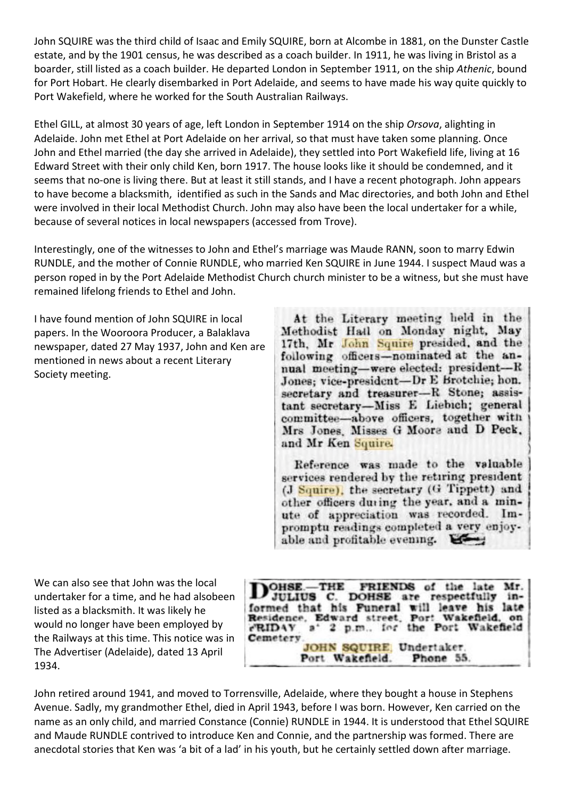John SQUIRE was the third child of Isaac and Emily SQUIRE, born at Alcombe in 1881, on the Dunster Castle estate, and by the 1901 census, he was described as a coach builder. In 1911, he was living in Bristol as a boarder, still listed as a coach builder. He departed London in September 1911, on the ship *Athenic*, bound for Port Hobart. He clearly disembarked in Port Adelaide, and seems to have made his way quite quickly to Port Wakefield, where he worked for the South Australian Railways.

Ethel GILL, at almost 30 years of age, left London in September 1914 on the ship *Orsova*, alighting in Adelaide. John met Ethel at Port Adelaide on her arrival, so that must have taken some planning. Once John and Ethel married (the day she arrived in Adelaide), they settled into Port Wakefield life, living at 16 Edward Street with their only child Ken, born 1917. The house looks like it should be condemned, and it seems that no-one is living there. But at least it still stands, and I have a recent photograph. John appears to have become a blacksmith, identified as such in the Sands and Mac directories, and both John and Ethel were involved in their local Methodist Church. John may also have been the local undertaker for a while, because of several notices in local newspapers (accessed from Trove).

Interestingly, one of the witnesses to John and Ethel's marriage was Maude RANN, soon to marry Edwin RUNDLE, and the mother of Connie RUNDLE, who married Ken SQUIRE in June 1944. I suspect Maud was a person roped in by the Port Adelaide Methodist Church church minister to be a witness, but she must have remained lifelong friends to Ethel and John.

I have found mention of John SQUIRE in local papers. In the Wooroora Producer, a Balaklava newspaper, dated 27 May 1937, John and Ken are mentioned in news about a recent Literary Society meeting.

At the Literary meeting held in the Methodist Hall on Monday night, May 17th, Mr John Squire presided, and the following officers-nominated at the annual meeting-were elected: president-R Jones; vice-president-Dr E Brotchie; hon. secretary and treasurer-R Stone; assistant secretary-Miss E Liebich; general committee-above officers, together with Mrs Jones, Misses G Moore and D Peck, and Mr Ken Squire.

Reference was made to the valuable services rendered by the retiring president (J Squire), the secretary (G Tippett) and other officers during the year, and a minute of appreciation was recorded. Impromptu readings completed a very enjoyable and profitable evening.

We can also see that John was the local undertaker for a time, and he had alsobeen listed as a blacksmith. It was likely he would no longer have been employed by the Railways at this time. This notice was in The Advertiser (Adelaide), dated 13 April 1934.

Mr.  $OHSE = THE$ FRIENDS of the late respectfully **JULIUS C. DOHSE are**  $in$ formed that his Funeral will leave his late Residence, Edward street, Port Wakefield, on eRIDAY a' 2 p.m., for the Port Wakefield Cemetery. JOHN SQUIRE, Undertaker. Port Wakefield. Phone 55.

John retired around 1941, and moved to Torrensville, Adelaide, where they bought a house in Stephens Avenue. Sadly, my grandmother Ethel, died in April 1943, before I was born. However, Ken carried on the name as an only child, and married Constance (Connie) RUNDLE in 1944. It is understood that Ethel SQUIRE and Maude RUNDLE contrived to introduce Ken and Connie, and the partnership was formed. There are anecdotal stories that Ken was 'a bit of a lad' in his youth, but he certainly settled down after marriage.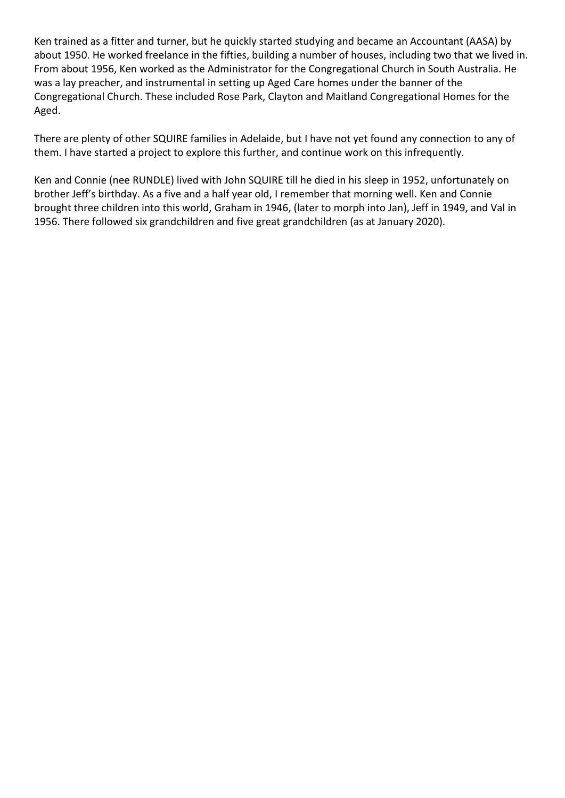Ken trained as a fitter and turner, but he quickly started studying and became an Accountant (AASA) by about 1950. He worked freelance in the fifties, building a number of houses, including two that we lived in. From about 1956, Ken worked as the Administrator for the Congregational Church in South Australia. He was a lay preacher, and instrumental in setting up Aged Care homes under the banner of the Congregational Church. These included Rose Park, Clayton and Maitland Congregational Homes for the Aged.

There are plenty of other SQUIRE families in Adelaide, but I have not yet found any connection to any of them. I have started a project to explore this further, and continue work on this infrequently.

Ken and Connie (nee RUNDLE) lived with John SQUIRE till he died in his sleep in 1952, unfortunately on brother Jeff's birthday. As a five and a half year old, I remember that morning well. Ken and Connie brought three children into this world, Graham in 1946, (later to morph into Jan), Jeff in 1949, and Val in 1956. There followed six grandchildren and five great grandchildren (as at January 2020).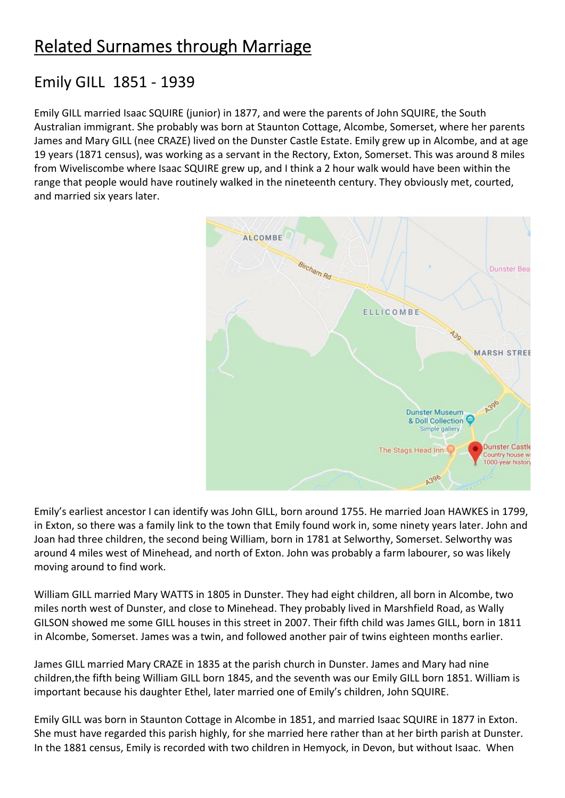## Emily GILL 1851 - 1939

Emily GILL married Isaac SQUIRE (junior) in 1877, and were the parents of John SQUIRE, the South Australian immigrant. She probably was born at Staunton Cottage, Alcombe, Somerset, where her parents James and Mary GILL (nee CRAZE) lived on the Dunster Castle Estate. Emily grew up in Alcombe, and at age 19 years (1871 census), was working as a servant in the Rectory, Exton, Somerset. This was around 8 miles from Wiveliscombe where Isaac SQUIRE grew up, and I think a 2 hour walk would have been within the range that people would have routinely walked in the nineteenth century. They obviously met, courted, and married six years later.



Emily's earliest ancestor I can identify was John GILL, born around 1755. He married Joan HAWKES in 1799, in Exton, so there was a family link to the town that Emily found work in, some ninety years later. John and Joan had three children, the second being William, born in 1781 at Selworthy, Somerset. Selworthy was around 4 miles west of Minehead, and north of Exton. John was probably a farm labourer, so was likely moving around to find work.

William GILL married Mary WATTS in 1805 in Dunster. They had eight children, all born in Alcombe, two miles north west of Dunster, and close to Minehead. They probably lived in Marshfield Road, as Wally GILSON showed me some GILL houses in this street in 2007. Their fifth child was James GILL, born in 1811 in Alcombe, Somerset. James was a twin, and followed another pair of twins eighteen months earlier.

James GILL married Mary CRAZE in 1835 at the parish church in Dunster. James and Mary had nine children,the fifth being William GILL born 1845, and the seventh was our Emily GILL born 1851. William is important because his daughter Ethel, later married one of Emily's children, John SQUIRE.

Emily GILL was born in Staunton Cottage in Alcombe in 1851, and married Isaac SQUIRE in 1877 in Exton. She must have regarded this parish highly, for she married here rather than at her birth parish at Dunster. In the 1881 census, Emily is recorded with two children in Hemyock, in Devon, but without Isaac. When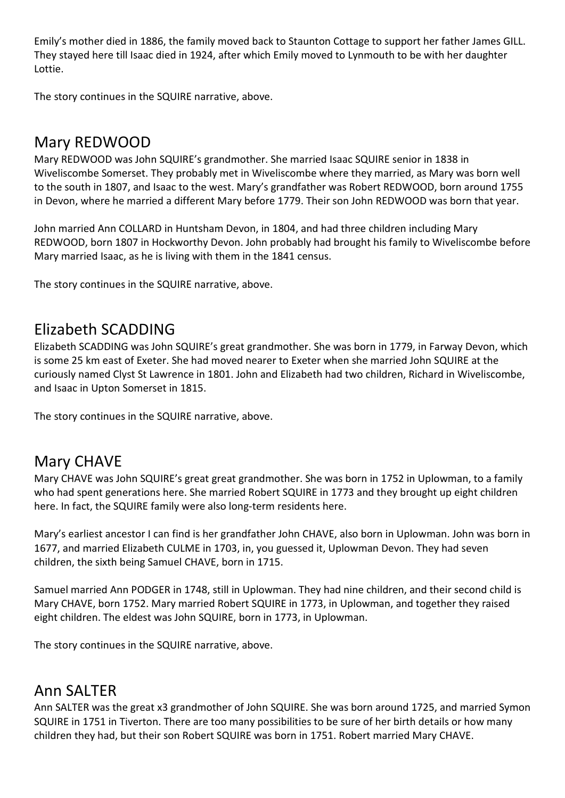Emily's mother died in 1886, the family moved back to Staunton Cottage to support her father James GILL. They stayed here till Isaac died in 1924, after which Emily moved to Lynmouth to be with her daughter Lottie.

The story continues in the SQUIRE narrative, above.

## Mary REDWOOD

Mary REDWOOD was John SQUIRE's grandmother. She married Isaac SQUIRE senior in 1838 in Wiveliscombe Somerset. They probably met in Wiveliscombe where they married, as Mary was born well to the south in 1807, and Isaac to the west. Mary's grandfather was Robert REDWOOD, born around 1755 in Devon, where he married a different Mary before 1779. Their son John REDWOOD was born that year.

John married Ann COLLARD in Huntsham Devon, in 1804, and had three children including Mary REDWOOD, born 1807 in Hockworthy Devon. John probably had brought his family to Wiveliscombe before Mary married Isaac, as he is living with them in the 1841 census.

The story continues in the SQUIRE narrative, above.

## Elizabeth SCADDING

Elizabeth SCADDING was John SQUIRE's great grandmother. She was born in 1779, in Farway Devon, which is some 25 km east of Exeter. She had moved nearer to Exeter when she married John SQUIRE at the curiously named Clyst St Lawrence in 1801. John and Elizabeth had two children, Richard in Wiveliscombe, and Isaac in Upton Somerset in 1815.

The story continues in the SQUIRE narrative, above.

## Mary CHAVE

Mary CHAVE was John SQUIRE's great great grandmother. She was born in 1752 in Uplowman, to a family who had spent generations here. She married Robert SQUIRE in 1773 and they brought up eight children here. In fact, the SQUIRE family were also long-term residents here.

Mary's earliest ancestor I can find is her grandfather John CHAVE, also born in Uplowman. John was born in 1677, and married Elizabeth CULME in 1703, in, you guessed it, Uplowman Devon. They had seven children, the sixth being Samuel CHAVE, born in 1715.

Samuel married Ann PODGER in 1748, still in Uplowman. They had nine children, and their second child is Mary CHAVE, born 1752. Mary married Robert SQUIRE in 1773, in Uplowman, and together they raised eight children. The eldest was John SQUIRE, born in 1773, in Uplowman.

The story continues in the SQUIRE narrative, above.

## Ann SALTER

Ann SALTER was the great x3 grandmother of John SQUIRE. She was born around 1725, and married Symon SQUIRE in 1751 in Tiverton. There are too many possibilities to be sure of her birth details or how many children they had, but their son Robert SQUIRE was born in 1751. Robert married Mary CHAVE.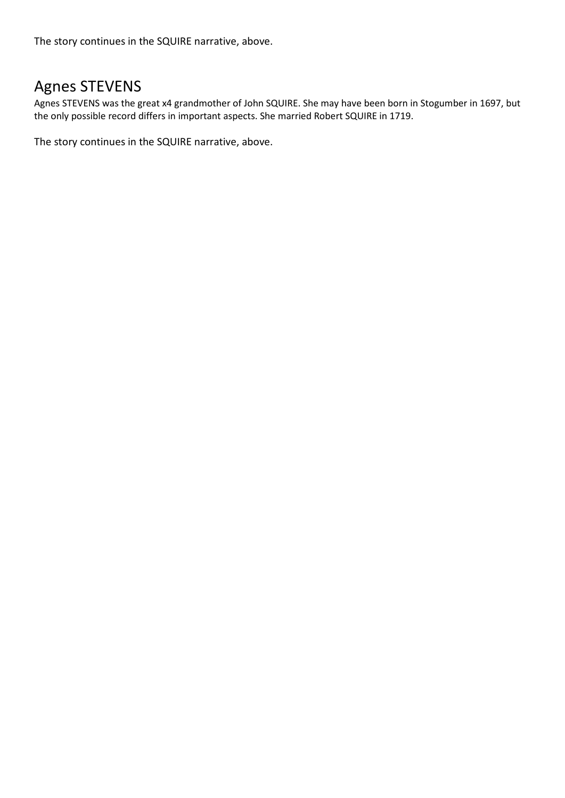The story continues in the SQUIRE narrative, above.

## Agnes STEVENS

Agnes STEVENS was the great x4 grandmother of John SQUIRE. She may have been born in Stogumber in 1697, but the only possible record differs in important aspects. She married Robert SQUIRE in 1719.

The story continues in the SQUIRE narrative, above.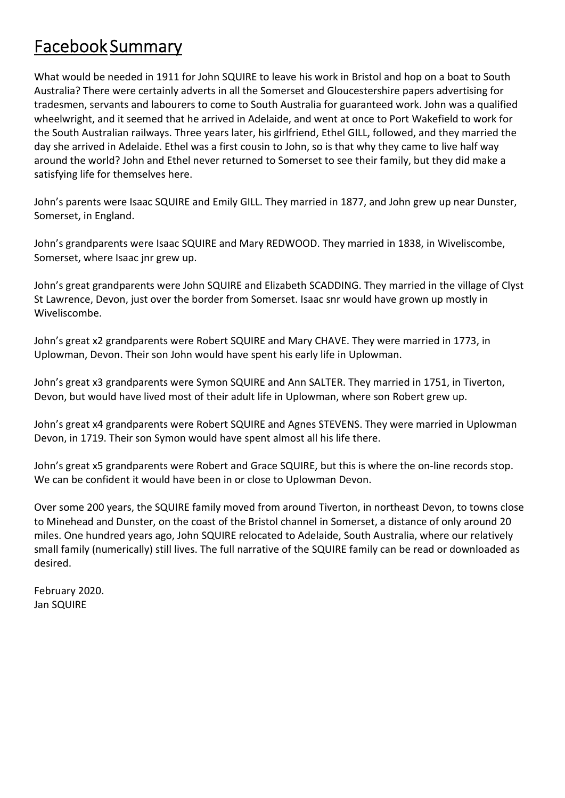# Facebook Summary

What would be needed in 1911 for John SQUIRE to leave his work in Bristol and hop on a boat to South Australia? There were certainly adverts in all the Somerset and Gloucestershire papers advertising for tradesmen, servants and labourers to come to South Australia for guaranteed work. John was a qualified wheelwright, and it seemed that he arrived in Adelaide, and went at once to Port Wakefield to work for the South Australian railways. Three years later, his girlfriend, Ethel GILL, followed, and they married the day she arrived in Adelaide. Ethel was a first cousin to John, so is that why they came to live half way around the world? John and Ethel never returned to Somerset to see their family, but they did make a satisfying life for themselves here.

John's parents were Isaac SQUIRE and Emily GILL. They married in 1877, and John grew up near Dunster, Somerset, in England.

John's grandparents were Isaac SQUIRE and Mary REDWOOD. They married in 1838, in Wiveliscombe, Somerset, where Isaac jnr grew up.

John's great grandparents were John SQUIRE and Elizabeth SCADDING. They married in the village of Clyst St Lawrence, Devon, just over the border from Somerset. Isaac snr would have grown up mostly in Wiveliscombe.

John's great x2 grandparents were Robert SQUIRE and Mary CHAVE. They were married in 1773, in Uplowman, Devon. Their son John would have spent his early life in Uplowman.

John's great x3 grandparents were Symon SQUIRE and Ann SALTER. They married in 1751, in Tiverton, Devon, but would have lived most of their adult life in Uplowman, where son Robert grew up.

John's great x4 grandparents were Robert SQUIRE and Agnes STEVENS. They were married in Uplowman Devon, in 1719. Their son Symon would have spent almost all his life there.

John's great x5 grandparents were Robert and Grace SQUIRE, but this is where the on-line records stop. We can be confident it would have been in or close to Uplowman Devon.

Over some 200 years, the SQUIRE family moved from around Tiverton, in northeast Devon, to towns close to Minehead and Dunster, on the coast of the Bristol channel in Somerset, a distance of only around 20 miles. One hundred years ago, John SQUIRE relocated to Adelaide, South Australia, where our relatively small family (numerically) still lives. The full narrative of the SQUIRE family can be read or downloaded as desired.

February 2020. Jan SQUIRE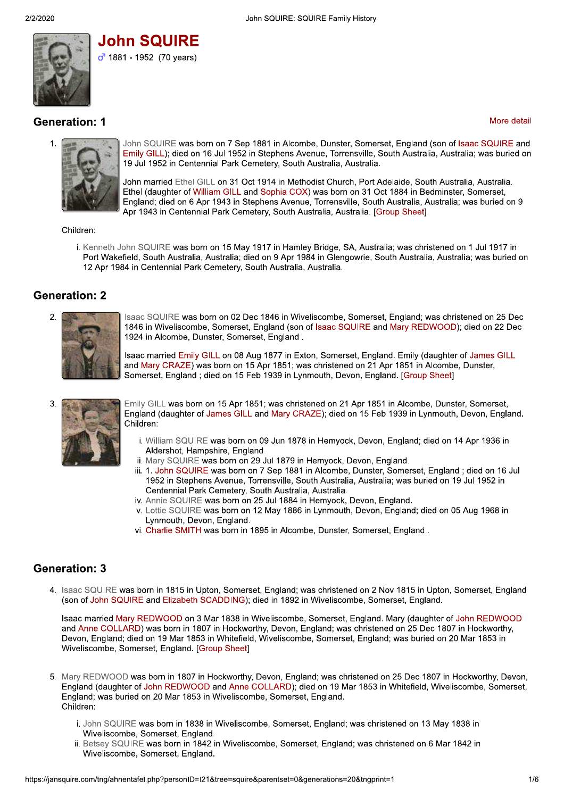

**John SQUIRE**  $\sigma$ <sup>1881</sup> - 1952 (70 years)

## **Generation: 1**

#### More detail



John SQUIRE was born on 7 Sep 1881 in Alcombe, Dunster, Somerset, England (son of Isaac SQUIRE and Emily GILL); died on 16 Jul 1952 in Stephens Avenue, Torrensville, South Australia, Australia; was buried on 19 Jul 1952 in Centennial Park Cemetery, South Australia, Australia.

John married Ethel GILL on 31 Oct 1914 in Methodist Church, Port Adelaide, South Australia, Australia. Ethel (daughter of William GILL and Sophia COX) was born on 31 Oct 1884 in Bedminster, Somerset, England; died on 6 Apr 1943 in Stephens Avenue, Torrensville, South Australia, Australia; was buried on 9 Apr 1943 in Centennial Park Cemetery, South Australia, Australia. [Group Sheet]

Children:

i. Kenneth John SQUIRE was born on 15 May 1917 in Hamley Bridge, SA, Australia; was christened on 1 Jul 1917 in Port Wakefield, South Australia, Australia; died on 9 Apr 1984 in Glengowrie, South Australia, Australia; was buried on 12 Apr 1984 in Centennial Park Cemetery, South Australia, Australia.

### **Generation: 2**



Isaac SQUIRE was born on 02 Dec 1846 in Wiveliscombe, Somerset, England; was christened on 25 Dec 1846 in Wiveliscombe, Somerset, England (son of Isaac SQUIRE and Mary REDWOOD); died on 22 Dec 1924 in Alcombe, Dunster, Somerset, England.

Isaac married Emily GILL on 08 Aug 1877 in Exton, Somerset, England. Emily (daughter of James GILL and Mary CRAZE) was born on 15 Apr 1851; was christened on 21 Apr 1851 in Alcombe, Dunster, Somerset, England ; died on 15 Feb 1939 in Lynmouth, Devon, England, [Group Sheet]

3

Emily GILL was born on 15 Apr 1851; was christened on 21 Apr 1851 in Alcombe, Dunster, Somerset, England (daughter of James GILL and Mary CRAZE); died on 15 Feb 1939 in Lynmouth, Devon, England. Children:

- i. William SQUIRE was born on 09 Jun 1878 in Hemyock, Devon, England; died on 14 Apr 1936 in Aldershot, Hampshire, England.
- ii. Mary SQUIRE was born on 29 Jul 1879 in Hemyock, Devon, England.
- iii. 1. John SQUIRE was born on 7 Sep 1881 in Alcombe, Dunster, Somerset, England ; died on 16 Jul 1952 in Stephens Avenue, Torrensville, South Australia, Australia; was buried on 19 Jul 1952 in Centennial Park Cemetery, South Australia, Australia.
- iv. Annie SQUIRE was born on 25 Jul 1884 in Hemyock, Devon, England.
- v. Lottie SQUIRE was born on 12 May 1886 in Lynmouth, Devon, England; died on 05 Aug 1968 in Lynmouth, Devon, England.
- vi. Charlie SMITH was born in 1895 in Alcombe, Dunster, Somerset, England.

## **Generation: 3**

4. Isaac SQUIRE was born in 1815 in Upton, Somerset, England; was christened on 2 Nov 1815 in Upton, Somerset, England (son of John SQUIRE and Elizabeth SCADDING); died in 1892 in Wiveliscombe, Somerset, England.

Isaac married Mary REDWOOD on 3 Mar 1838 in Wiveliscombe, Somerset, England. Mary (daughter of John REDWOOD and Anne COLLARD) was born in 1807 in Hockworthy, Devon, England; was christened on 25 Dec 1807 in Hockworthy, Devon, England; died on 19 Mar 1853 in Whitefield, Wiveliscombe, Somerset, England; was buried on 20 Mar 1853 in Wiveliscombe, Somerset, England. [Group Sheet]

- 5. Mary REDWOOD was born in 1807 in Hockworthy, Devon, England; was christened on 25 Dec 1807 in Hockworthy, Devon, England (daughter of John REDWOOD and Anne COLLARD); died on 19 Mar 1853 in Whitefield, Wiveliscombe, Somerset, England; was buried on 20 Mar 1853 in Wiveliscombe, Somerset, England. Children:
	- i. John SQUIRE was born in 1838 in Wiveliscombe, Somerset, England; was christened on 13 May 1838 in Wiveliscombe, Somerset, England.
	- ii. Betsey SQUIRE was born in 1842 in Wiveliscombe, Somerset, England; was christened on 6 Mar 1842 in Wiveliscombe, Somerset, England.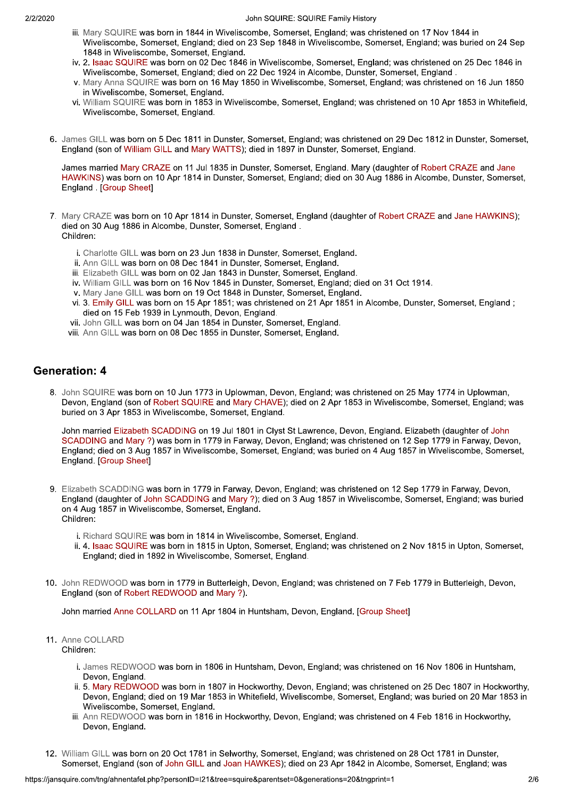- iii. Marv SQUIRE was born in 1844 in Wiveliscombe, Somerset, England; was christened on 17 Nov 1844 in Wiveliscombe, Somerset, England; died on 23 Sep 1848 in Wiveliscombe, Somerset, England; was buried on 24 Sep 1848 in Wiveliscombe, Somerset, England.
- iv. 2. Isaac SQUIRE was born on 02 Dec 1846 in Wiveliscombe, Somerset, England; was christened on 25 Dec 1846 in Wiveliscombe, Somerset, England; died on 22 Dec 1924 in Alcombe, Dunster, Somerset, England.
- v. Mary Anna SQUIRE was born on 16 May 1850 in Wiveliscombe, Somerset, England; was christened on 16 Jun 1850 in Wiveliscombe, Somerset, England.
- vi. William SQUIRE was born in 1853 in Wiveliscombe, Somerset, England; was christened on 10 Apr 1853 in Whitefield, Wiveliscombe, Somerset, England.
- 6. James GILL was born on 5 Dec 1811 in Dunster, Somerset, England; was christened on 29 Dec 1812 in Dunster, Somerset, England (son of William GILL and Mary WATTS); died in 1897 in Dunster, Somerset, England.

James married Mary CRAZE on 11 Jul 1835 in Dunster, Somerset, England. Mary (daughter of Robert CRAZE and Jane HAWKINS) was born on 10 Apr 1814 in Dunster, Somerset, England; died on 30 Aug 1886 in Alcombe, Dunster, Somerset, England . [Group Sheet]

- 7. Mary CRAZE was born on 10 Apr 1814 in Dunster, Somerset, England (daughter of Robert CRAZE and Jane HAWKINS); died on 30 Aug 1886 in Alcombe, Dunster, Somerset, England. Children:
	- i. Charlotte GILL was born on 23 Jun 1838 in Dunster, Somerset, England.
	- ii. Ann GILL was born on 08 Dec 1841 in Dunster, Somerset, England.
	- iii. Elizabeth GILL was born on 02 Jan 1843 in Dunster, Somerset, England.
	- iv. William GILL was born on 16 Nov 1845 in Dunster, Somerset, England; died on 31 Oct 1914.
	- v. Mary Jane GILL was born on 19 Oct 1848 in Dunster, Somerset, England.
	- vi. 3. Emily GILL was born on 15 Apr 1851; was christened on 21 Apr 1851 in Alcombe, Dunster, Somerset, England; died on 15 Feb 1939 in Lynmouth, Devon, England.
	- vii. John GILL was born on 04 Jan 1854 in Dunster, Somerset, England.
	- viii. Ann GILL was born on 08 Dec 1855 in Dunster, Somerset, England.

#### **Generation: 4**

8. John SQUIRE was born on 10 Jun 1773 in Uplowman, Devon, England; was christened on 25 May 1774 in Uplowman, Devon, England (son of Robert SQUIRE and Mary CHAVE); died on 2 Apr 1853 in Wiveliscombe, Somerset, England; was buried on 3 Apr 1853 in Wiveliscombe, Somerset, England.

John married Elizabeth SCADDING on 19 Jul 1801 in Clyst St Lawrence, Devon, England. Elizabeth (daughter of John SCADDING and Mary ?) was born in 1779 in Farway, Devon, England; was christened on 12 Sep 1779 in Farway, Devon, England; died on 3 Aug 1857 in Wiveliscombe, Somerset, England; was buried on 4 Aug 1857 in Wiveliscombe, Somerset, England, [Group Sheet]

- 9. Elizabeth SCADDING was born in 1779 in Farway, Devon, England; was christened on 12 Sep 1779 in Farway, Devon, England (daughter of John SCADDING and Mary ?); died on 3 Aug 1857 in Wiveliscombe, Somerset, England; was buried on 4 Aug 1857 in Wiveliscombe, Somerset, England. Children:
	- i. Richard SQUIRE was born in 1814 in Wiveliscombe, Somerset, England.
	- ii. 4. Isaac SQUIRE was born in 1815 in Upton. Somerset. England: was christened on 2 Nov 1815 in Upton. Somerset. England: died in 1892 in Wiveliscombe, Somerset, England.
- 10. John REDWOOD was born in 1779 in Butterleigh, Devon, England; was christened on 7 Feb 1779 in Butterleigh, Devon, England (son of Robert REDWOOD and Mary ?).

John married Anne COLLARD on 11 Apr 1804 in Huntsham, Devon, England. [Group Sheet]

#### 11. Anne COLLARD Children:

- i. James REDWOOD was born in 1806 in Huntsham, Devon, England; was christened on 16 Nov 1806 in Huntsham, Devon, England.
- ii. 5. Mary REDWOOD was born in 1807 in Hockworthy, Devon, England; was christened on 25 Dec 1807 in Hockworthy, Devon, England; died on 19 Mar 1853 in Whitefield, Wiveliscombe, Somerset, England; was buried on 20 Mar 1853 in Wiveliscombe, Somerset, England.
- iii. Ann REDWOOD was born in 1816 in Hockworthy, Devon, England; was christened on 4 Feb 1816 in Hockworthy, Devon, England.
- 12. William GILL was born on 20 Oct 1781 in Selworthy, Somerset, England; was christened on 28 Oct 1781 in Dunster, Somerset, England (son of John GILL and Joan HAWKES); died on 23 Apr 1842 in Alcombe, Somerset, England; was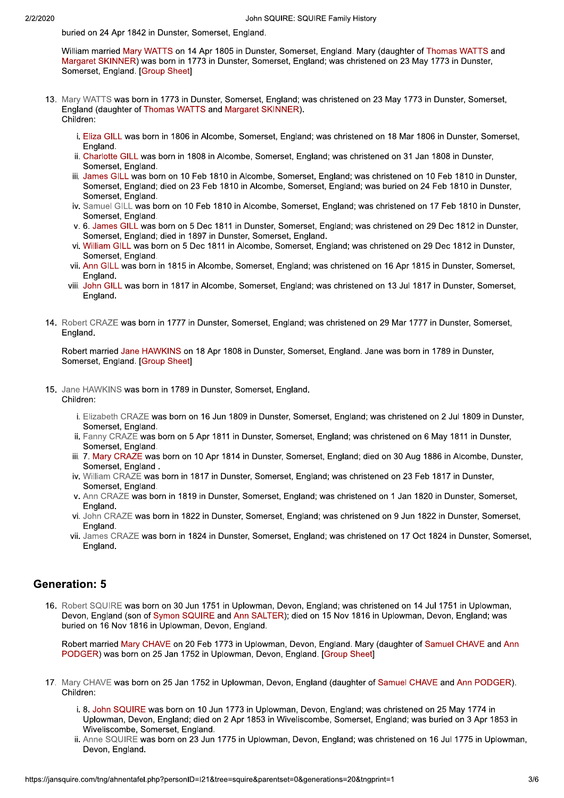buried on 24 Apr 1842 in Dunster, Somerset, England.

William married Mary WATTS on 14 Apr 1805 in Dunster, Somerset, England, Mary (daughter of Thomas WATTS and Margaret SKINNER) was born in 1773 in Dunster, Somerset, England; was christened on 23 May 1773 in Dunster, Somerset, England. [Group Sheet]

- 13. Mary WATTS was born in 1773 in Dunster, Somerset, England; was christened on 23 May 1773 in Dunster, Somerset, England (daughter of Thomas WATTS and Margaret SKINNER). Children:
	- i. Eliza GILL was born in 1806 in Alcombe, Somerset, England; was christened on 18 Mar 1806 in Dunster, Somerset, England.
	- ii. Charlotte GILL was born in 1808 in Alcombe, Somerset, England; was christened on 31 Jan 1808 in Dunster, Somerset, England.
	- iii. James GILL was born on 10 Feb 1810 in Alcombe, Somerset, England; was christened on 10 Feb 1810 in Dunster, Somerset, England; died on 23 Feb 1810 in Alcombe, Somerset, England; was buried on 24 Feb 1810 in Dunster, Somerset, England.
	- iv. Samuel GILL was born on 10 Feb 1810 in Alcombe, Somerset, England; was christened on 17 Feb 1810 in Dunster, Somerset, England.
	- v. 6. James GILL was born on 5 Dec 1811 in Dunster, Somerset, England; was christened on 29 Dec 1812 in Dunster, Somerset, England; died in 1897 in Dunster, Somerset, England.
	- vi. William GILL was born on 5 Dec 1811 in Alcombe, Somerset, England; was christened on 29 Dec 1812 in Dunster, Somerset, England.
	- vii. Ann GILL was born in 1815 in Alcombe, Somerset, England; was christened on 16 Apr 1815 in Dunster, Somerset, England.
	- viii. John GILL was born in 1817 in Alcombe, Somerset, England; was christened on 13 Jul 1817 in Dunster, Somerset, England.
- 14. Robert CRAZE was born in 1777 in Dunster, Somerset, England; was christened on 29 Mar 1777 in Dunster, Somerset, England.

Robert married Jane HAWKINS on 18 Apr 1808 in Dunster, Somerset, England. Jane was born in 1789 in Dunster, Somerset, England. [Group Sheet]

- 15. Jane HAWKINS was born in 1789 in Dunster, Somerset, England. Children:
	- i. Elizabeth CRAZE was born on 16 Jun 1809 in Dunster, Somerset, England; was christened on 2 Jul 1809 in Dunster, Somerset, England.
	- ii. Fanny CRAZE was born on 5 Apr 1811 in Dunster, Somerset, England; was christened on 6 May 1811 in Dunster, Somerset, England.
	- iii. 7. Mary CRAZE was born on 10 Apr 1814 in Dunster, Somerset, England; died on 30 Aug 1886 in Alcombe, Dunster, Somerset, England.
	- iv. William CRAZE was born in 1817 in Dunster, Somerset, England; was christened on 23 Feb 1817 in Dunster, Somerset, England.
	- v. Ann CRAZE was born in 1819 in Dunster, Somerset, England; was christened on 1 Jan 1820 in Dunster, Somerset, England.
	- vi. John CRAZE was born in 1822 in Dunster, Somerset, England; was christened on 9 Jun 1822 in Dunster, Somerset, England.
	- vii. James CRAZE was born in 1824 in Dunster, Somerset, England; was christened on 17 Oct 1824 in Dunster, Somerset, England.

### **Generation: 5**

16. Robert SQUIRE was born on 30 Jun 1751 in Uplowman, Devon, England; was christened on 14 Jul 1751 in Uplowman, Devon, England (son of Symon SQUIRE and Ann SALTER); died on 15 Nov 1816 in Uplowman, Devon, England; was buried on 16 Nov 1816 in Uplowman, Devon, England.

Robert married Mary CHAVE on 20 Feb 1773 in Uplowman, Devon, England, Mary (daughter of Samuel CHAVE and Ann PODGER) was born on 25 Jan 1752 in Uplowman, Devon, England. [Group Sheet]

- 17. Mary CHAVE was born on 25 Jan 1752 in Uplowman, Devon, England (daughter of Samuel CHAVE and Ann PODGER). Children:
	- i. 8. John SQUIRE was born on 10 Jun 1773 in Uplowman, Devon, England; was christened on 25 May 1774 in Uplowman, Devon, England; died on 2 Apr 1853 in Wiveliscombe, Somerset, England; was buried on 3 Apr 1853 in Wiveliscombe, Somerset, England.
	- ii. Anne SQUIRE was born on 23 Jun 1775 in Uplowman, Devon, England; was christened on 16 Jul 1775 in Uplowman, Devon, England.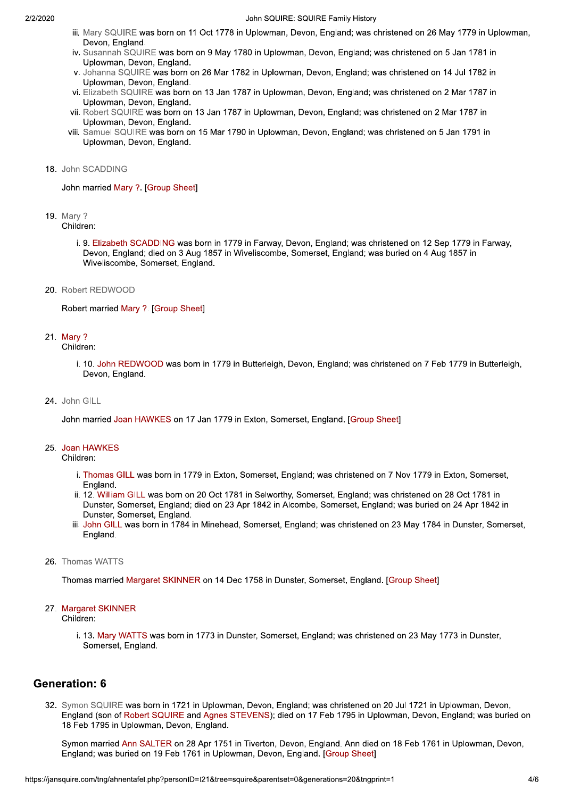#### John SQUIRE: SQUIRE Family History

- iii. Mary SQUIRE was born on 11 Oct 1778 in Uplowman, Devon, England; was christened on 26 May 1779 in Uplowman, Devon, England.
- iv. Susannah SQUIRE was born on 9 May 1780 in Uplowman, Devon, England; was christened on 5 Jan 1781 in Uplowman, Devon, England.
- v. Johanna SQUIRE was born on 26 Mar 1782 in Uplowman, Devon, England; was christened on 14 Jul 1782 in Uplowman, Devon, England.
- vi. Elizabeth SQUIRE was born on 13 Jan 1787 in Uplowman, Devon, England; was christened on 2 Mar 1787 in Uplowman, Devon, England.
- vii. Robert SQUIRE was born on 13 Jan 1787 in Uplowman. Devon. England: was christened on 2 Mar 1787 in Uplowman, Devon, England.
- viii. Samuel SQUIRE was born on 15 Mar 1790 in Uplowman, Devon, England; was christened on 5 Jan 1791 in Uplowman, Devon, England,

#### 18. John SCADDING

John married Mary ?. [Group Sheet]

**19.** Mary ?

Children:

- i. 9. Elizabeth SCADDING was born in 1779 in Farway, Devon, England; was christened on 12 Sep 1779 in Farway, Devon, England; died on 3 Aug 1857 in Wiveliscombe, Somerset, England; was buried on 4 Aug 1857 in Wiveliscombe, Somerset, England.
- 20. Robert REDWOOD

Robert married Mary ?. [Group Sheet]

21. Mary ?

Children:

- i. 10. John REDWOOD was born in 1779 in Butterleigh, Devon, England; was christened on 7 Feb 1779 in Butterleigh, Devon, England.
- 24. John GILL

John married Joan HAWKES on 17 Jan 1779 in Exton, Somerset, England. [Group Sheet]

#### 25. Joan HAWKES

Children:

- i. Thomas GILL was born in 1779 in Exton, Somerset, England; was christened on 7 Nov 1779 in Exton, Somerset, England.
- ii. 12. William GILL was born on 20 Oct 1781 in Selworthy, Somerset, England; was christened on 28 Oct 1781 in Dunster, Somerset, England; died on 23 Apr 1842 in Alcombe, Somerset, England; was buried on 24 Apr 1842 in Dunster, Somerset, England.
- iii. John GILL was born in 1784 in Minehead, Somerset, England; was christened on 23 May 1784 in Dunster, Somerset, England.

#### 26. Thomas WATTS

Thomas married Margaret SKINNER on 14 Dec 1758 in Dunster, Somerset, England, [Group Sheet]

### 27. Margaret SKINNER

Children:

i. 13. Mary WATTS was born in 1773 in Dunster, Somerset, England; was christened on 23 May 1773 in Dunster, Somerset, England.

#### **Generation: 6**

32. Symon SQUIRE was born in 1721 in Uplowman, Devon, England; was christened on 20 Jul 1721 in Uplowman, Devon, England (son of Robert SQUIRE and Agnes STEVENS); died on 17 Feb 1795 in Uplowman, Devon, England; was buried on 18 Feb 1795 in Uplowman, Devon, England.

Symon married Ann SALTER on 28 Apr 1751 in Tiverton, Devon, England. Ann died on 18 Feb 1761 in Uplowman, Devon, England; was buried on 19 Feb 1761 in Uplowman, Devon, England. [Group Sheet]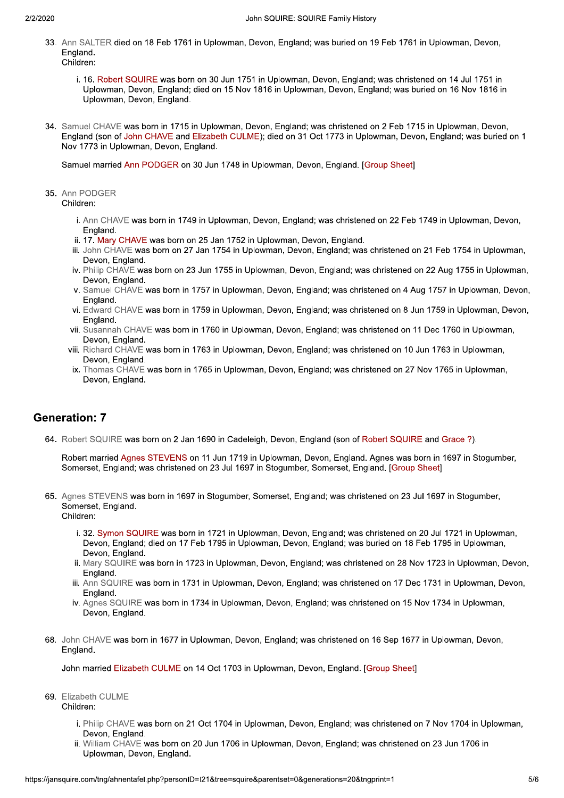- 33. Ann SALTER died on 18 Feb 1761 in Uplowman, Devon, England: was buried on 19 Feb 1761 in Uplowman, Devon, England. Children<sup>-</sup>
- i. 16. Robert SQUIRE was born on  $30$ , John SQUIRE: SQUIRE F<br>
eb 1761 in Uplowman, Devon, England; was<br>
was born on 30 Jun 1751 in Uplowman, Devo<br>
England; died on 15 Nov 1816 in Uplowman, I<br>
England.<br>
in 1715 in Uplowman, Devon, England; was c<br>
WE and Elizabet John SQUIRE: SQU<br>
LTER died on 18 Feb 1761 in Uplowman, Devon, England;<br>
d.<br>
6. Robert SQUIRE was born on 30 Jun 1751 in Uplowman, I<br>
plowman, Devon, England; died on 15 Nov 1816 in Uplowm<br>
plowman, Devon, England.<br>
I CHAV Uplowman, Devon, England; died on 15 Nov 1816 in Uplowman, Devon, England; was buried on 16 Nov 1816 in Uplowman, Devon, England. Spowman, Devon, England, was banca on 15 F of Trot in optomian, Devon,<br>1251 in John 1751 in Uplowman, Devon, England; was christened on 14 Jul 1751 in<br>10 n 15 Nov 1816 in Uplowman, Devon, England; was buried on 16 Nov 1816
- John SQUIRE: SQUIRE Family History<br>SALTER died on 18 Feb 1761 in Uplowman, Devon, England; was buried on 19 Feb 1761 in Uplowman, Devon,<br>16. Robert SQUIRE was born on 30 Jun 1751 in Uplowman, Devon, England; was christened 12 Determined on the Castle Trochin optermine, because the children:<br>
1. 16. Robert SQUIRE was born on 30 Jun 1751 in Uplowman, Devon, England; died on 15 Nov 1816<br>
12 Uplowman, Devon, England.<br>
134. Samuel CHAVE was born 34. Samuel CHAVE was born in 1715 in Uplowman, Devon, England; was christened on 2 Feb 1715 in Uplowman, Devon, England (son of John CHAVE and Elizabeth CULME); died on 31 Oct 1773 in Uplowman, Devon, England; was buried on 1 Nov 1773 in Uplowman. Devon. England. 34. Samuel CHAVE was born in 1715 in Uplo<br>
England (son of John CHAVE and Elizab<br>
Nov 1773 in Uplowman, Devon, England.<br>
Samuel married Ann PODGER on 30 Jur<br>
35. Ann PODGER<br>
Children:<br>
i. Ann CHAVE was born in 1749 in Ur<br>

Samuel married Ann PODGER on 30 Jun 1748 in Uplowman, Devon, England, [Group Sheet]

- plowman, Devon, England; was christened on 22 Feb 1749 in Uplowman, Devon,
- 
- muel married Ann PODGER on 30 Jun 1748 in Uplowman, Devon<br>
1 PODGER<br>
Idren:<br>
i. Ann CHAVE was born in 1749 in Uplowman, Devon, England; v<br>
England.<br>
ii. 17. Mary CHAVE was born on 25 Jan 1752 in Uplowman, Devon, E<br>
lii. Jo In PODGER<br>
ildren:<br>
i. Ann CHAVE was born in 1749 in Uplowman, Devon, England; was christene<br>
England.<br>
ii. 17. Mary CHAVE was born on 25 Jan 1752 in Uplowman, Devon, England.<br>
iii. John CHAVE was born on 27 Jan 1754 in Up 12 - Premium, 2004, 2004, 2004, 2004, 2004, 2004, 2016, 2016, 2016, 2016, 2016, 2016, 2016, 2016, 2016, 2016, 2016, 2016, 2016, 2016, 2016, 2016, 2016, 2016, 2016, 2016, 2016, 2016, 2016, 2016, 2016, 2016, 2016, 2016, 2016 iii. John CHAVE was born on 27 Jan 1754 in Uplowman, Devon, England; was christened on 21 Feb 1754 in Uplowman, n PODGER<br>
ildren:<br>
i. Ann CHAVE was born in 1749 in Uplowman, Devon, England<br>
England.<br>
ii. 17. Mary CHAVE was born on 25 Jan 1752 in Uplowman, Devon,<br>
Devon, England.<br>
iv. Philip CHAVE was born on 23 Jun 1754 in Uplowman, Devon, England; was christened on 22 Feb 1749 in Uplowman, Devon,<br>n Uplowman, Devon, England.<br>plowman, Devon, England; was christened on 21 Feb 1754 in Uplowman,<br>plowman, Devon, England; was christened on 22 Aug 1755 in Up i. Ann CHAVE was born in 1749 in Uplowman, Devon, England; was christened on 22 Feb 1749 in Uplowman, Devon, England.<br>
ii. 17. Mary CHAVE was born on 25 Jan 1752 in Uplowman, Devon, England.<br>
ii. 17. Mary CHAVE was born on wman, Devon, England; was christened on 22 Feb 1749 in Uplowman, Devon,<br>1752 in Uplowman, Devon, England.<br>4 in Uplowman, Devon, England; was christened on 21 Feb 1754 in Uplowman<br>5 in Uplowman, Devon, England; was christen 1752 in Uplowman, Devon, England.<br>4 in Uplowman, Devon, England; was christened on 21 Feb 1754 in Uplowmar<br>5 in Uplowman, Devon, England; was christened on 22 Aug 1755 in Uplowma<br>plowman, Devon, England; was christened on
- 
- v. Samuel CHAVE was born in 1757 in Uplowman, Devon, England; was christened on 4 Aug 1757 in Uplowman, Devon,
- vi. Edward CHAVE was born in 1759 in Uplowman, Devon, England; was christened on 8 Jun 1759 in Uplowman, Devon, blowman, Devon, England; was christened on 4 Aug 1757 in Uplowman, Devon,<br>blowman, Devon, England; was christened on 8 Jun 1759 in Uplowman, Devon,<br>Uplowman, Devon, England; was christened on 11 Dec 1760 in Uplowman,<br>blowm
- vii. Susannah CHAVE was born in 1760 in Uplowman, Devon, England: was christened on 11 Dec 1760 in Uplowman, Devon, England.
- viii. Richard CHAVE was born in 1763 in Uplowman. Devon. England: was christened on 10 Jun 1763 in Ur
- England.<br>
ii. 17. Mary CHAVE was born on 25 Jan 1752 in Uplowm<br>
iii. John CHAVE was born on 27 Jan 1754 in Uplowman,<br>
Devon, England.<br>
iv. Philip CHAVE was born on 23 Jun 1755 in Uplowman,<br>
Devon, England.<br>
v. Samuel CHAVE v. Samuel CHAVE was born in 1757 in Uplowman, Devon, England; was christened on 4 Aug 1757 in Uplowman, Devon, England, England, Was christened on 8 Jun 1759 in Uplowman, Devon, Eighard.<br>
Edward CHAVE was born in 1769 in U ix. Thomas CHAVE was born in 1765 in Uplowman, Devon, England; was christened on 27 Nov 1765 in Uplowman,

## **Generation: 7**

64. Robert SQUIRE was born on 2 Jan 1690 in Cadeleigh. Devon. England (son of Robert SQUIRE and Grace ?).

Robert married Agnes STEVENS on 11 Jun 1719 in Uplowman, Devon, England, Agnes was born in 1697 in Stogumber, Somerset, England; was christened on 23 Jul 1697 in Stogumber, Somerset, England. [Group Sheet]

- 
- Generation: 7<br>
64. Robert SQUIRE was born on 2 Jan 1690 in Cadeleigh, Devon, England (son of Robert SQUIRE and Grace ?).<br>
Robert married Agnes STEVENS on 11 Jun 1719 in Uplowman, Devon, England. Agnes was born in 1697 in S IRE was born in 1721 in Uplowman, Devon, England; was christened on 20 Jul 1721 in Up rrset, England; was christened on 23 Jul 1697 in Stogumber, Somerset, England. [Group Sheet]<br>
12 STEVENS was born in 1697 in Stogumber, Somerset, England; was christened on 23 Jul 1697 in Stogumber,<br>
13 STEVENS was born in 97 in Stogumber, Somerset, England. [Group Sheet]<br>Pr., Somerset, England; was christened on 23 Jul 1697 in Stogumber,<br>plowman, Devon, England; was christened on 20 Jul 1721 in Uplowman,<br>plowman, Devon, England; was buried Devon, England: died on 17 Feb 1795 in Uplowman, Devon, England; was buried on 18 Feb 1795 in Uplowman, Devon, England. in Uplowman, Devon, England; was christened on 20 Jul 1721 in Uplo<br>in Uplowman, Devon, England; was buried on 18 Feb 1795 in Uplowm<br>Iowman, Devon, England; was christened on 28 Nov 1723 in Uplowma<br>plowman, Devon, England;
	- ii, Mary SQUIRE was born in 1723 in Uplowman, Devon, England; was christened on 28 Nov 1723 in Uplowman, Devon, England.
	- iii. Ann SQUIRE was born in 1731 in Uplowman. Devon. England: was christened on 17 Dec 1731 in Uplowman. Devon.
	- iv. Agnes SQUIRE was born in 1734 in Uplowman. Devon. England: was christened on 15 Nov 1734 in Uplowman. Devon, England.
	- 68. John CHAVE was born in 1677 in Uplowman. Devon. England: was christened on 16 Sep 1677 in Uplowman. Devon. England.

John married Elizabeth CULME on 14 Oct 1703 in Uplowman, Devon, England, [Group Sheet]

- 69. Elizabeth CULME Children:
	- was christened on 7 Nov 1704 in Uplowman,<br>I; was christened on 23 Jun 1706 in<br>&tngprint=1 5/6 i. Philip CHAVE was born on 21 Oct 1704 in Uplowman. Devon. England: was christened on 7 Nov 1704 in Uplowman. Devon, England.
	- ii. William CHAVE was born on 20 Jun 1706 in Uplowman. Devon. England: was christened on 23 Jun 1706 in Uplowman, Devon, England,